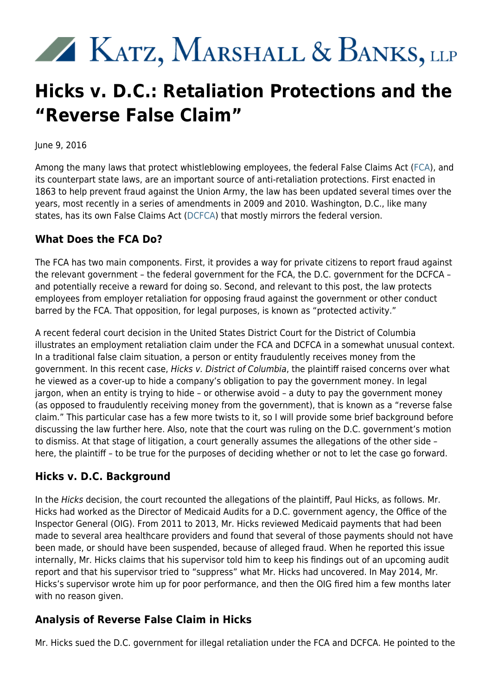# KATZ, MARSHALL & BANKS, LLP

## **Hicks v. D.C.: Retaliation Protections and the "Reverse False Claim"**

June 9, 2016

Among the many laws that protect whistleblowing employees, the federal False Claims Act [\(FCA](https://www.justice.gov/sites/default/files/civil/legacy/2011/04/22/C-FRAUDS_FCA_Primer.pdf)), and its counterpart state laws, are an important source of anti-retaliation protections. First enacted in 1863 to help prevent fraud against the Union Army, the law has been updated several times over the years, most recently in a series of amendments in 2009 and 2010. Washington, D.C., like many states, has its own False Claims Act ([DCFCA\)](http://oag.dc.gov/page/false-claims-act) that mostly mirrors the federal version.

#### **What Does the FCA Do?**

The FCA has two main components. First, it provides a way for private citizens to report fraud against the relevant government – the federal government for the FCA, the D.C. government for the DCFCA – and potentially receive a reward for doing so. Second, and relevant to this post, the law protects employees from employer retaliation for opposing fraud against the government or other conduct barred by the FCA. That opposition, for legal purposes, is known as "protected activity."

A recent federal court decision in the United States District Court for the District of Columbia illustrates an employment retaliation claim under the FCA and DCFCA in a somewhat unusual context. In a traditional false claim situation, a person or entity fraudulently receives money from the government. In this recent case, Hicks v. District of Columbia, the plaintiff raised concerns over what he viewed as a cover-up to hide a company's obligation to pay the government money. In legal jargon, when an entity is trying to hide – or otherwise avoid – a duty to pay the government money (as opposed to fraudulently receiving money from the government), that is known as a "reverse false claim." This particular case has a few more twists to it, so I will provide some brief background before discussing the law further here. Also, note that the court was ruling on the D.C. government's motion to dismiss. At that stage of litigation, a court generally assumes the allegations of the other side – here, the plaintiff – to be true for the purposes of deciding whether or not to let the case go forward.

### **Hicks v. D.C. Background**

In the Hicks decision, the court recounted the allegations of the plaintiff, Paul Hicks, as follows. Mr. Hicks had worked as the Director of Medicaid Audits for a D.C. government agency, the Office of the Inspector General (OIG). From 2011 to 2013, Mr. Hicks reviewed Medicaid payments that had been made to several area healthcare providers and found that several of those payments should not have been made, or should have been suspended, because of alleged fraud. When he reported this issue internally, Mr. Hicks claims that his supervisor told him to keep his findings out of an upcoming audit report and that his supervisor tried to "suppress" what Mr. Hicks had uncovered. In May 2014, Mr. Hicks's supervisor wrote him up for poor performance, and then the OIG fired him a few months later with no reason given.

#### **Analysis of Reverse False Claim in Hicks**

Mr. Hicks sued the D.C. government for illegal retaliation under the FCA and DCFCA. He pointed to the